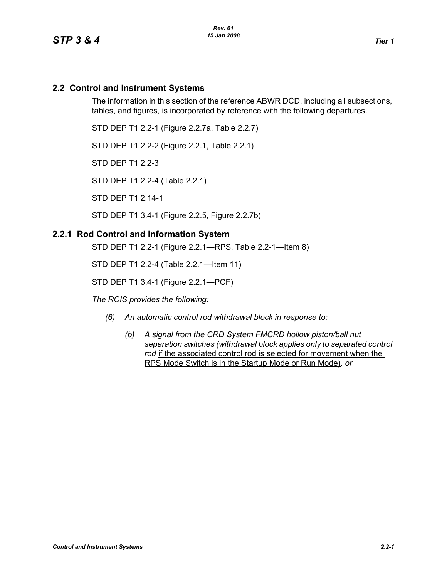# **2.2 Control and Instrument Systems**

The information in this section of the reference ABWR DCD, including all subsections, tables, and figures, is incorporated by reference with the following departures.

STD DEP T1 2.2-1 (Figure 2.2.7a, Table 2.2.7)

STD DEP T1 2.2-2 (Figure 2.2.1, Table 2.2.1)

STD DEP T1 2.2-3

STD DEP T1 2.2-4 (Table 2.2.1)

STD DEP T1 2.14-1

STD DEP T1 3.4-1 (Figure 2.2.5, Figure 2.2.7b)

#### **2.2.1 Rod Control and Information System**

STD DEP T1 2.2-1 (Figure 2.2.1—RPS, Table 2.2-1—Item 8)

STD DEP T1 2.2-4 (Table 2.2.1—Item 11)

STD DEP T1 3.4-1 (Figure 2.2.1—PCF)

*The RCIS provides the following:*

- *(6) An automatic control rod withdrawal block in response to:*
	- *(b) A signal from the CRD System FMCRD hollow piston/ball nut separation switches (withdrawal block applies only to separated control*  rod if the associated control rod is selected for movement when the RPS Mode Switch is in the Startup Mode or Run Mode)*, or*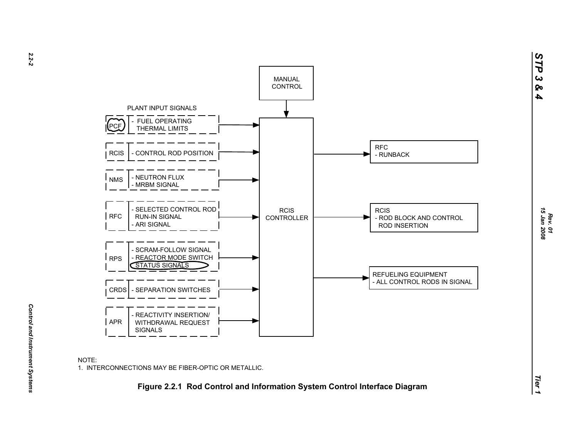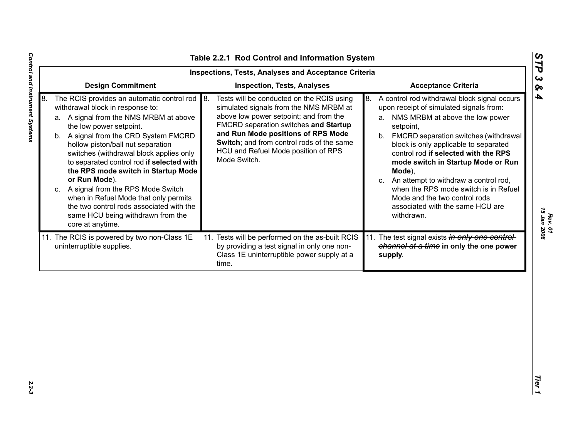| <b>Design Commitment</b><br><b>Inspection, Tests, Analyses</b><br><b>Acceptance Criteria</b><br>8.<br>The RCIS provides an automatic control rod<br>Tests will be conducted on the RCIS using<br>8. A control rod withdrawal block signal occurs<br>8.<br>withdrawal block in response to:<br>simulated signals from the NMS MRBM at<br>upon receipt of simulated signals from:<br>above low power setpoint; and from the<br>NMS MRBM at above the low power<br>a. A signal from the NMS MRBM at above<br>а.<br>FMCRD separation switches and Startup<br>the low power setpoint.<br>setpoint,<br>and Run Mode positions of RPS Mode<br>b. A signal from the CRD System FMCRD<br>b. FMCRD separation switches (withdrawal<br>Switch; and from control rods of the same<br>hollow piston/ball nut separation<br>block is only applicable to separated<br>HCU and Refuel Mode position of RPS<br>control rod if selected with the RPS<br>switches (withdrawal block applies only<br>Mode Switch.<br>to separated control rod if selected with<br>mode switch in Startup Mode or Run<br>the RPS mode switch in Startup Mode<br>Mode),<br>or Run Mode).<br>An attempt to withdraw a control rod,<br>C.<br>when the RPS mode switch is in Refuel<br>c. A signal from the RPS Mode Switch<br>when in Refuel Mode that only permits<br>Mode and the two control rods<br>the two control rods associated with the<br>associated with the same HCU are<br>same HCU being withdrawn from the<br>withdrawn.<br>core at anytime. |
|---------------------------------------------------------------------------------------------------------------------------------------------------------------------------------------------------------------------------------------------------------------------------------------------------------------------------------------------------------------------------------------------------------------------------------------------------------------------------------------------------------------------------------------------------------------------------------------------------------------------------------------------------------------------------------------------------------------------------------------------------------------------------------------------------------------------------------------------------------------------------------------------------------------------------------------------------------------------------------------------------------------------------------------------------------------------------------------------------------------------------------------------------------------------------------------------------------------------------------------------------------------------------------------------------------------------------------------------------------------------------------------------------------------------------------------------------------------------------------------------------------------------|
|                                                                                                                                                                                                                                                                                                                                                                                                                                                                                                                                                                                                                                                                                                                                                                                                                                                                                                                                                                                                                                                                                                                                                                                                                                                                                                                                                                                                                                                                                                                     |
|                                                                                                                                                                                                                                                                                                                                                                                                                                                                                                                                                                                                                                                                                                                                                                                                                                                                                                                                                                                                                                                                                                                                                                                                                                                                                                                                                                                                                                                                                                                     |
| 11. The RCIS is powered by two non-Class 1E<br>11. Tests will be performed on the as-built RCIS<br>11. The test signal exists in only one control-<br>channel at a time in only the one power<br>uninterruptible supplies.<br>by providing a test signal in only one non-<br>Class 1E uninterruptible power supply at a<br>supply.<br>time.                                                                                                                                                                                                                                                                                                                                                                                                                                                                                                                                                                                                                                                                                                                                                                                                                                                                                                                                                                                                                                                                                                                                                                         |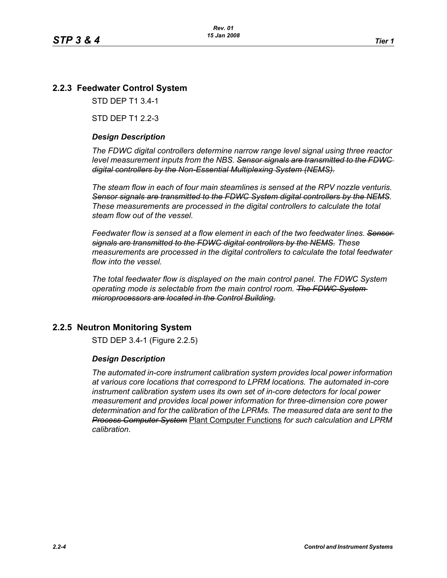# **2.2.3 Feedwater Control System**

STD DEP T1 3.4-1

STD DEP T1 2 2-3

### *Design Description*

*The FDWC digital controllers determine narrow range level signal using three reactor level measurement inputs from the NBS. Sensor signals are transmitted to the FDWC digital controllers by the Non-Essential Multiplexing System (NEMS).*

*The steam flow in each of four main steamlines is sensed at the RPV nozzle venturis. Sensor signals are transmitted to the FDWC System digital controllers by the NEMS. These measurements are processed in the digital controllers to calculate the total steam flow out of the vessel.*

*Feedwater flow is sensed at a flow element in each of the two feedwater lines. Sensor signals are transmitted to the FDWC digital controllers by the NEMS. These measurements are processed in the digital controllers to calculate the total feedwater flow into the vessel.*

*The total feedwater flow is displayed on the main control panel. The FDWC System operating mode is selectable from the main control room. The FDWC System microprocessors are located in the Control Building.*

## **2.2.5 Neutron Monitoring System**

STD DEP 3.4-1 (Figure 2.2.5)

#### *Design Description*

*The automated in-core instrument calibration system provides local power information at various core locations that correspond to LPRM locations. The automated in-core instrument calibration system uses its own set of in-core detectors for local power measurement and provides local power information for three-dimension core power determination and for the calibration of the LPRMs. The measured data are sent to the Process Computer System* Plant Computer Functions *for such calculation and LPRM calibration*.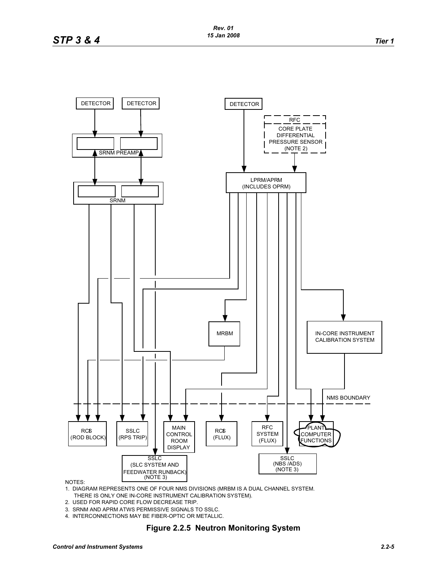

NOTES:

- 1. DIAGRAM REPRESENTS ONE OF FOUR NMS DIVISIONS (MRBM IS A DUAL CHANNEL SYSTEM. THERE IS ONLY ONE IN-CORE INSTRUMENT CALIBRATION SYSTEM).
- 2. USED FOR RAPID CORE FLOW DECREASE TRIP.
- 3. SRNM AND APRM ATWS PERMISSIVE SIGNALS TO SSLC.
- 4. INTERCONNECTIONS MAY BE FIBER-OPTIC OR METALLIC.

#### **Figure 2.2.5 Neutron Monitoring System**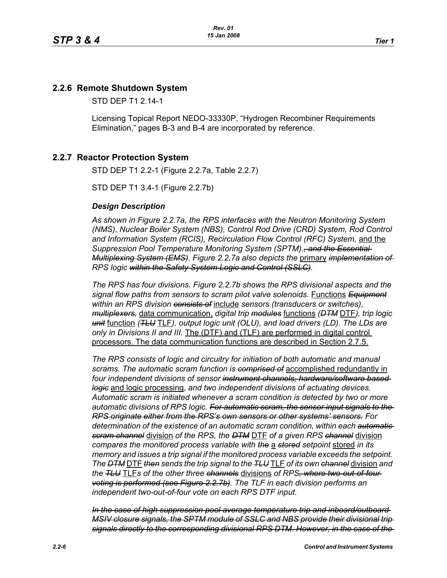# **2.2.6 Remote Shutdown System**

STD DEP T1 2.14-1

Licensing Topical Report NEDO-33330P, "Hydrogen Recombiner Requirements Elimination," pages B-3 and B-4 are incorporated by reference.

## **2.2.7 Reactor Protection System**

STD DEP T1 2.2-1 (Figure 2.2.7a, Table 2.2.7)

STD DEP T1 3.4-1 (Figure 2.2.7b)

#### *Design Description*

*As shown in Figure [2.2.7a](#page-8-0), the RPS interfaces with the Neutron Monitoring System (NMS), Nuclear Boiler System (NBS), Control Rod Drive (CRD) System, Rod Control and Information System (RCIS), Recirculation Flow Control (RFC) System,* and the *Suppression Pool Temperature Monitoring System (SPTM)*.*, and the Essential Multiplexing System (EMS). Figure [2.2.7a](#page-8-0) also depicts the* primary *implementation of RPS logic within the Safety System Logic and Control (SSLC).*

*The RPS has four divisions. Figure [2.2.7b](#page-9-0) shows the RPS divisional aspects and the signal flow paths from sensors to scram pilot valve solenoids.* Functions *Equipment within an RPS division consists of* include *sensors (transducers or switches)*, *multiplexers,* data communication, *digital trip modules* functions *(DTM* DTF*), trip logic unit* function *(TLU* TLF*), output logic unit (OLU), and load drivers (LD). The LDs are only in Divisions II and III.* The (DTF) and (TLF) are performed in digital control processors. The data communication functions are described in Section 2.7.5.

*The RPS consists of logic and circuitry for initiation of both automatic and manual scrams. The automatic scram function is comprised of* accomplished redundantly in *four independent divisions of sensor instrument channels, hardware/software based logic* and logic processing, *and two independent divisions of actuating devices. Automatic scram is initiated whenever a scram condition is detected by two or more automatic divisions of RPS logic. For automatic scram, the sensor input signals to the RPS originate either from the RPS's own sensors or other systems' sensors. For determination of the existence of an automatic scram condition, within each automatic scram channel* division *of the RPS, the DTM* DTF *of a given RPS channel* division *compares the monitored process variable with the* a *stored setpoint* stored *in its memory and issues a trip signal if the monitored process variable exceeds the setpoint. The DTM* DTF *then sends the trip signal to the TLU* TLF *of its own channel* division *and the TLU* TLF*s of the other three channels* divisions *of RPS, where two-out-of-four voting is performed (see Figure [2.2.7b\)](#page-9-0). The TLF in each division performs an independent two-out-of-four vote on each RPS DTF input.*

*In the case of high suppression pool average temperature trip and inboard/outboard MSIV closure signals, the SPTM module of SSLC and NBS provide their divisional trip signals directly to the corresponding divisional RPS DTM. However, in the case of the*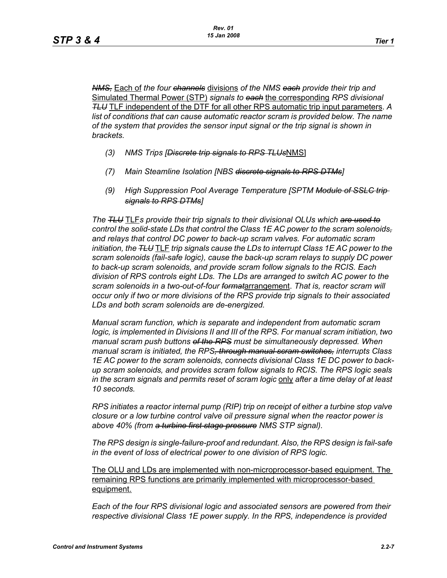*NMS,* Each of *the four channels* divisions *of the NMS each provide their trip and* Simulated Thermal Power (STP) *signals to each* the corresponding *RPS divisional TLU* TLF independent of the DTF for all other RPS automatic trip input parameters. *A*  list of conditions that can cause automatic reactor scram is provided below. The name *of the system that provides the sensor input signal or the trip signal is shown in brackets.*

- *(3) NMS Trips [Discrete trip signals to RPS TLUs*NMS]
- *(7) Main Steamline Isolation [NBS discrete signals to RPS DTMs]*
- *(9) High Suppression Pool Average Temperature [SPTM Module of SSLC trip signals to RPS DTMs]*

*The TLU* TLF*s provide their trip signals to their divisional OLUs which are used to control the solid-state LDs that control the Class 1E AC power to the scram solenoids, and relays that control DC power to back-up scram valves. For automatic scram initiation, the TLU* TLF *trip signals cause the LDs to interrupt Class 1E AC power to the scram solenoids (fail-safe logic), cause the back-up scram relays to supply DC power to back-up scram solenoids, and provide scram follow signals to the RCIS. Each division of RPS controls eight LDs. The LDs are arranged to switch AC power to the scram solenoids in a two-out-of-four format*arrangement. *That is, reactor scram will occur only if two or more divisions of the RPS provide trip signals to their associated LDs and both scram solenoids are de-energized.*

*Manual scram function, which is separate and independent from automatic scram logic, is implemented in Divisions II and III of the RPS. For manual scram initiation, two manual scram push buttons of the RPS must be simultaneously depressed. When manual scram is initiated, the RPS, through manual scram switches, interrupts Class 1E AC power to the scram solenoids, connects divisional Class 1E DC power to backup scram solenoids, and provides scram follow signals to RCIS. The RPS logic seals in the scram signals and permits reset of scram logic* only *after a time delay of at least 10 seconds.*

*RPS initiates a reactor internal pump (RIP) trip on receipt of either a turbine stop valve closure or a low turbine control valve oil pressure signal when the reactor power is above 40% (from a turbine first stage pressure NMS STP signal).*

*The RPS design is single-failure-proof and redundant. Also, the RPS design is fail-safe in the event of loss of electrical power to one division of RPS logic.*

The OLU and LDs are implemented with non-microprocessor-based equipment. The remaining RPS functions are primarily implemented with microprocessor-based equipment.

*Each of the four RPS divisional logic and associated sensors are powered from their respective divisional Class 1E power supply. In the RPS, independence is provided*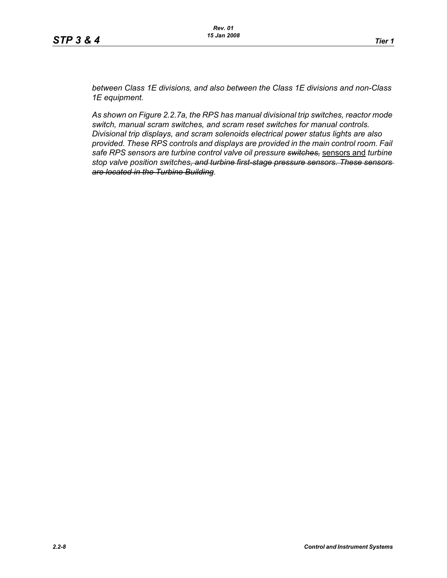*between Class 1E divisions, and also between the Class 1E divisions and non-Class 1E equipment.*

*As shown on Figure [2.2.7a](#page-8-0), the RPS has manual divisional trip switches, reactor mode switch, manual scram switches, and scram reset switches for manual controls. Divisional trip displays, and scram solenoids electrical power status lights are also provided. These RPS controls and displays are provided in the main control room. Fail safe RPS sensors are turbine control valve oil pressure switches,* sensors and *turbine stop valve position switches, and turbine first-stage pressure sensors. These sensors are located in the Turbine Building.*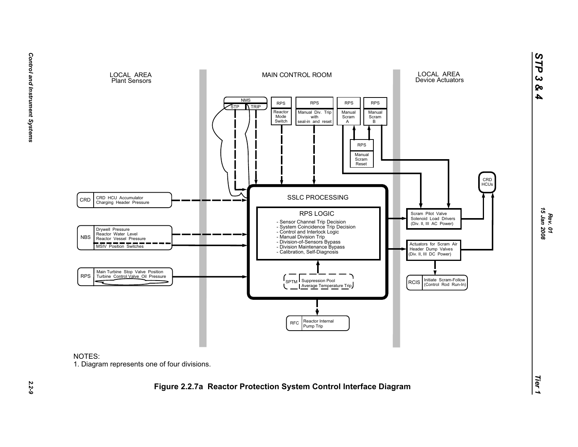

<span id="page-8-0"></span>

*STP 3 & 4*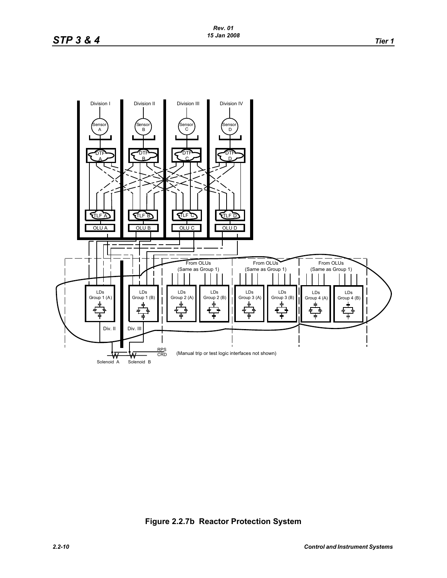

# <span id="page-9-0"></span>**Figure 2.2.7b Reactor Protection System**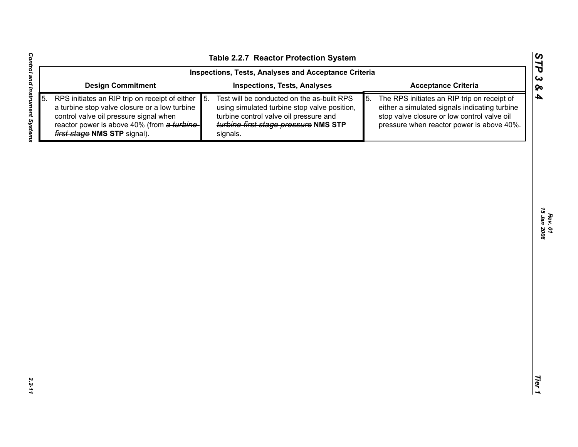|    |                                                                                                                                                                                                                                 | Table 2.2.7 Reactor Protection System                                                                                                                                                                        |                                                                                                                                                                                                | STP                   |
|----|---------------------------------------------------------------------------------------------------------------------------------------------------------------------------------------------------------------------------------|--------------------------------------------------------------------------------------------------------------------------------------------------------------------------------------------------------------|------------------------------------------------------------------------------------------------------------------------------------------------------------------------------------------------|-----------------------|
|    |                                                                                                                                                                                                                                 | Inspections, Tests, Analyses and Acceptance Criteria                                                                                                                                                         |                                                                                                                                                                                                | $\boldsymbol{\omega}$ |
|    | <b>Design Commitment</b>                                                                                                                                                                                                        | <b>Inspections, Tests, Analyses</b>                                                                                                                                                                          | <b>Acceptance Criteria</b>                                                                                                                                                                     | ବ                     |
| 5. | RPS initiates an RIP trip on receipt of either<br>a turbine stop valve closure or a low turbine<br>control valve oil pressure signal when<br>reactor power is above 40% (from a turbine-<br><b>first stage NMS STP signal).</b> | $\vert 5. \vert$<br>Test will be conducted on the as-built RPS<br>using simulated turbine stop valve position,<br>turbine control valve oil pressure and<br>turbine first stage pressure NMS STP<br>signals. | 5.<br>The RPS initiates an RIP trip on receipt of<br>either a simulated signals indicating turbine<br>stop valve closure or low control valve oil<br>pressure when reactor power is above 40%. | $\boldsymbol{4}$      |
|    |                                                                                                                                                                                                                                 |                                                                                                                                                                                                              |                                                                                                                                                                                                |                       |
|    |                                                                                                                                                                                                                                 |                                                                                                                                                                                                              |                                                                                                                                                                                                |                       |
|    |                                                                                                                                                                                                                                 |                                                                                                                                                                                                              |                                                                                                                                                                                                | 15 Jan 2008           |
|    |                                                                                                                                                                                                                                 |                                                                                                                                                                                                              |                                                                                                                                                                                                |                       |
|    |                                                                                                                                                                                                                                 |                                                                                                                                                                                                              |                                                                                                                                                                                                |                       |
|    |                                                                                                                                                                                                                                 |                                                                                                                                                                                                              |                                                                                                                                                                                                |                       |
|    |                                                                                                                                                                                                                                 |                                                                                                                                                                                                              |                                                                                                                                                                                                |                       |
|    |                                                                                                                                                                                                                                 |                                                                                                                                                                                                              |                                                                                                                                                                                                |                       |
|    |                                                                                                                                                                                                                                 |                                                                                                                                                                                                              |                                                                                                                                                                                                | Tier                  |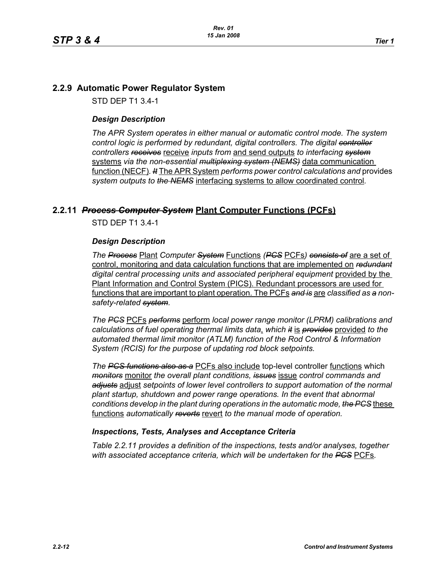# **2.2.9 Automatic Power Regulator System**

STD DEP T1 3.4-1

# *Design Description*

*The APR System operates in either manual or automatic control mode. The system control logic is performed by redundant, digital controllers. The digital controller controllers receives* receive *inputs from* and send outputs *to interfacing system* systems *via the non-essential multiplexing system (NEMS)* data communication function (NECF)*. It* The APR System *performs power control calculations and* provides *system outputs to the NEMS* interfacing systems to allow coordinated control*.*

# **2.2.11** *Process Computer System* **Plant Computer Functions (PCFs)**

STD DEP T1 3.4-1

#### *Design Description*

*The Process* Plant *Computer System* Functions *(PCS* PCFs*) consists of* are a set of control, monitoring and data calculation functions that are implemented on *redundant* digital central processing units and associated peripheral equipment provided by the Plant Information and Control System (PICS). Redundant processors are used for functions that are important to plant operation. The PCFs *and is* are *classified as a nonsafety-related system.*

*The PCS* PCFs *performs* perform *local power range monitor (LPRM) calibrations and calculations of fuel operating thermal limits data*, *which it* is *provides* provided *to the automated thermal limit monitor (ATLM) function of the Rod Control & Information System (RCIS) for the purpose of updating rod block setpoints.*

*The PCS functions also as a* PCFs also include top-level controller functions which *monitors* monitor *the overall plant conditions, issues* issue *control commands and adjusts* adjust *setpoints of lower level controllers to support automation of the normal plant startup, shutdown and power range operations. In the event that abnormal conditions develop in the plant during operations in the automatic mode, the PCS* these functions *automatically reverts* revert *to the manual mode of operation.*

## *Inspections, Tests, Analyses and Acceptance Criteria*

*Table 2.2.11 provides a definition of the inspections, tests and/or analyses, together with associated acceptance criteria, which will be undertaken for the PCS* PCFs*.*